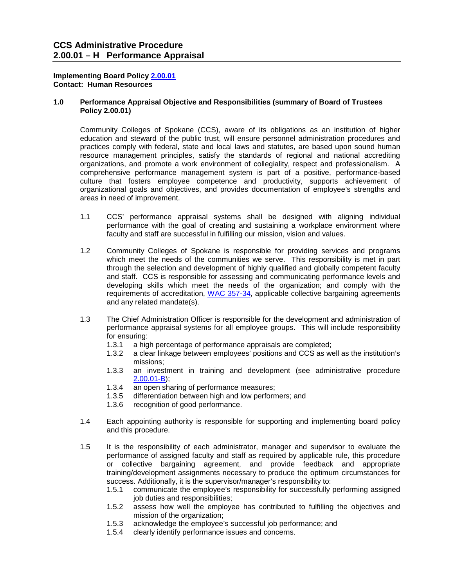## **Contact: Human Resources Implementing Board Policy [2.00.01](http://ccs.spokane.edu/About-Us/Leadership/Policies-Procedures/Chapter-2-Human-Resources#AccWE2-1)**

## **Contact: Human Resources 1.0 Performance Appraisal Objective and Responsibilities (summary of Board of Trustees Policy 2.00.01)**

 practices comply with federal, state and local laws and statutes, are based upon sound human resource management principles, satisfy the standards of regional and national accrediting comprehensive performance management system is part of a positive, performance-based Community Colleges of Spokane (CCS), aware of its obligations as an institution of higher education and steward of the public trust, will ensure personnel administration procedures and organizations, and promote a work environment of collegiality, respect and professionalism. A culture that fosters employee competence and productivity, supports achievement of organizational goals and objectives, and provides documentation of employee's strengths and areas in need of improvement.

- 1.1 CCS' performance appraisal systems shall be designed with aligning individual performance with the goal of creating and sustaining a workplace environment where faculty and staff are successful in fulfilling our mission, vision and values.
- through the selection and development of highly qualified and globally competent faculty and staff. CCS is responsible for assessing and communicating performance levels and requirements of accreditation, [WAC 357-34,](http://apps.leg.wa.gov/wac/default.aspx?cite=357-34) applicable collective bargaining agreements and any related mandate(s). 1.2 Community Colleges of Spokane is responsible for providing services and programs which meet the needs of the communities we serve. This responsibility is met in part developing skills which meet the needs of the organization; and comply with the
- performance appraisal systems for all employee groups. This will include responsibility 1.3 The Chief Administration Officer is responsible for the development and administration of for ensuring:
	- 1.3.1 a high percentage of performance appraisals are completed;<br>1.3.2 a clear linkage between employees' positions and CCS as we
	- a clear linkage between employees' positions and CCS as well as the institution's missions;
	- 1.3.3 an investment in training and development (see administrative procedure [2.00.01-B\)](https://shared.spokane.edu/ccsglobal/media/Global/PDFs/District/Policies/CH2/2.00.00_PersAdmin/2-00-01B_TrainingDevelopment.pdf);
	- 1.3.4 an open sharing of performance measures;
	- 1.3.5 differentiation between high and low performers; and 1.3.6 recognition of good performance.
	- recognition of good performance.
- 1.4 Each appointing authority is responsible for supporting and implementing board policy and this procedure.
- performance of assigned faculty and staff as required by applicable rule, this procedure training/development assignments necessary to produce the optimum circumstances for 1.5 It is the responsibility of each administrator, manager and supervisor to evaluate the or collective bargaining agreement, and provide feedback and appropriate success. Additionally, it is the supervisor/manager's responsibility to:
	- 1.5.1 communicate the employee's responsibility for successfully performing assigned job duties and responsibilities;
	- 1.5.2 assess how well the employee has contributed to fulfilling the objectives and mission of the organization;
	- 1.5.3 acknowledge the employee's successful job performance; and
	- 1.5.4 clearly identify performance issues and concerns.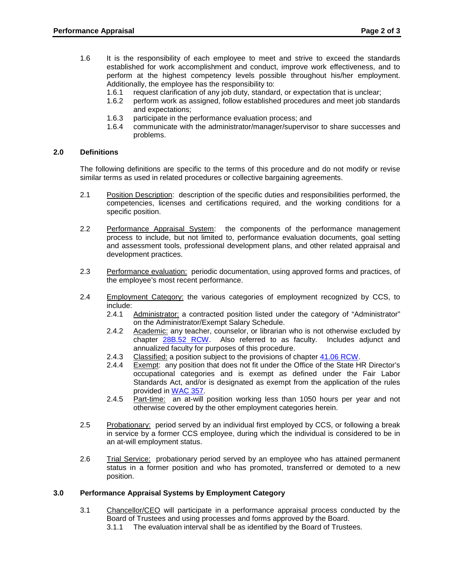- perform at the highest competency levels possible throughout his/her employment. 1.6 It is the responsibility of each employee to meet and strive to exceed the standards established for work accomplishment and conduct, improve work effectiveness, and to Additionally, the employee has the responsibility to:
	- request clarification of any job duty, standard, or expectation that is unclear; 1.6.1
	- 1.6.2 perform work as assigned, follow established procedures and meet job standards and expectations;
	- 1.6.3 participate in the performance evaluation process; and
	- communicate with the administrator/manager/supervisor to share successes and 1.6.4 problems.

## **2.0 Definitions**

 The following definitions are specific to the terms of this procedure and do not modify or revise similar terms as used in related procedures or collective bargaining agreements.

- $2.1$ Position Description: description of the specific duties and responsibilities performed, the competencies, licenses and certifications required, and the working conditions for a specific position.
- $2.2$  and assessment tools, professional development plans, and other related appraisal and Performance Appraisal System: the components of the performance management process to include, but not limited to, performance evaluation documents, goal setting development practices.
- $2.3$ Performance evaluation: periodic documentation, using approved forms and practices, of the employee's most recent performance.
- $2.4$ Employment Category: the various categories of employment recognized by CCS, to include:<br>2.4.1
	- Administrator: a contracted position listed under the category of "Administrator" on the Administrator/Exempt Salary Schedule.
	- 2.4.2 Academic: any teacher, counselor, or librarian who is not otherwise excluded by chapter [28B.52 RCW.](http://apps.leg.wa.gov/RCW/default.aspx?cite=28B.52) Also referred to as faculty. Includes adjunct and annualized faculty for purposes of this procedure.
	- 2.4.3 Classified: a position subject to the provisions of chapter [41.06 RCW.](http://apps.leg.wa.gov/RCW/default.aspx?cite=41.06)
	- Standards Act, and/or is designated as exempt from the application of the rules 2.4.4 Exempt: any position that does not fit under the Office of the State HR Director's occupational categories and is exempt as defined under the Fair Labor provided in [WAC 357.](http://apps.leg.wa.gov/wac/default.aspx?cite=357)
	- 2.4.5 Part-time: an at-will position working less than 1050 hours per year and not otherwise covered by the other employment categories herein.
- $2.5$  in service by a former CCS employee, during which the individual is considered to be in Probationary: period served by an individual first employed by CCS, or following a break an at-will employment status.
- $2.6$ Trial Service: probationary period served by an employee who has attained permanent status in a former position and who has promoted, transferred or demoted to a new position.

## **3.0 Performance Appraisal Systems by Employment Category**

- 3.1 Chancellor/CEO will participate in a performance appraisal process conducted by the Board of Trustees and using processes and forms approved by the Board.
	- 3.1.1 The evaluation interval shall be as identified by the Board of Trustees.